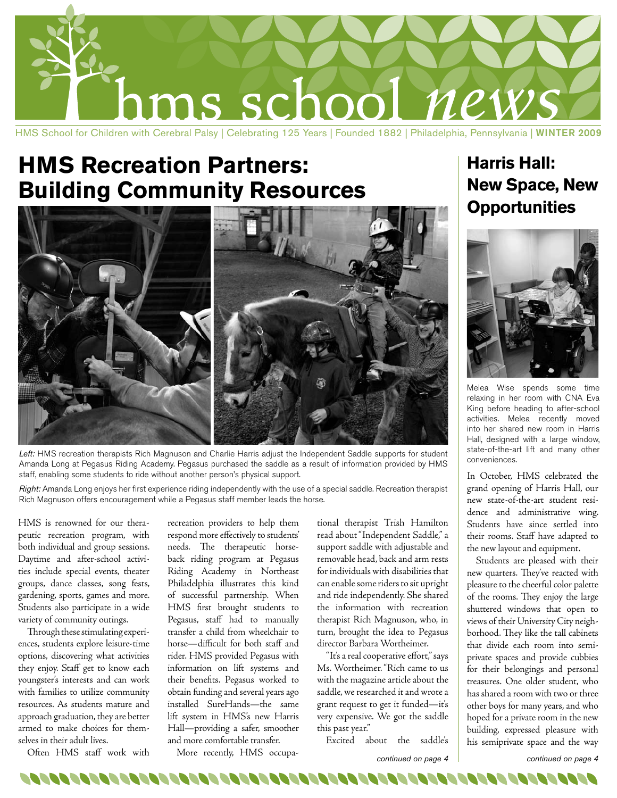

# **HMS Recreation Partners: Building Community Resources**



*Left:* HMS recreation therapists Rich Magnuson and Charlie Harris adjust the Independent Saddle supports for student Amanda Long at Pegasus Riding Academy. Pegasus purchased the saddle as a result of information provided by HMS staff, enabling some students to ride without another person's physical support.

*Right:* Amanda Long enjoys her first experience riding independently with the use of a special saddle. Recreation therapist Rich Magnuson offers encouragement while a Pegasus staff member leads the horse.

HMS is renowned for our therapeutic recreation program, with both individual and group sessions. Daytime and after-school activities include special events, theater groups, dance classes, song fests, gardening, sports, games and more. Students also participate in a wide variety of community outings.

Through these stimulating experiences, students explore leisure-time options, discovering what activities they enjoy. Staff get to know each youngster's interests and can work with families to utilize community resources. As students mature and approach graduation, they are better armed to make choices for themselves in their adult lives.

Often HMS staff work with

recreation providers to help them respond more effectively to students' needs. The therapeutic horseback riding program at Pegasus Riding Academy in Northeast Philadelphia illustrates this kind of successful partnership. When HMS first brought students to Pegasus, staff had to manually transfer a child from wheelchair to horse—difficult for both staff and rider. HMS provided Pegasus with information on lift systems and their benefits. Pegasus worked to obtain funding and several years ago installed SureHands—the same lift system in HMS's new Harris Hall—providing a safer, smoother and more comfortable transfer.

More recently, HMS occupa-

tional therapist Trish Hamilton read about "Independent Saddle," a support saddle with adjustable and removable head, back and arm rests for individuals with disabilities that can enable some riders to sit upright and ride independently. She shared the information with recreation therapist Rich Magnuson, who, in turn, brought the idea to Pegasus director Barbara Wortheimer.

"It's a real cooperative effort," says Ms. Wortheimer. "Rich came to us with the magazine article about the saddle, we researched it and wrote a grant request to get it funded—it's very expensive. We got the saddle this past year."

Excited about the saddle's

*continued on page 4 continued on page 4*

## **Harris Hall: New Space, New Opportunities**



Melea Wise spends some time relaxing in her room with CNA Eva King before heading to after-school activities. Melea recently moved into her shared new room in Harris Hall, designed with a large window, state-of-the-art lift and many other conveniences.

In October, HMS celebrated the grand opening of Harris Hall, our new state-of-the-art student residence and administrative wing. Students have since settled into their rooms. Staff have adapted to the new layout and equipment.

Students are pleased with their new quarters. They've reacted with pleasure to the cheerful color palette of the rooms. They enjoy the large shuttered windows that open to views of their University City neighborhood. They like the tall cabinets that divide each room into semiprivate spaces and provide cubbies for their belongings and personal treasures. One older student, who has shared a room with two or three other boys for many years, and who hoped for a private room in the new building, expressed pleasure with his semiprivate space and the way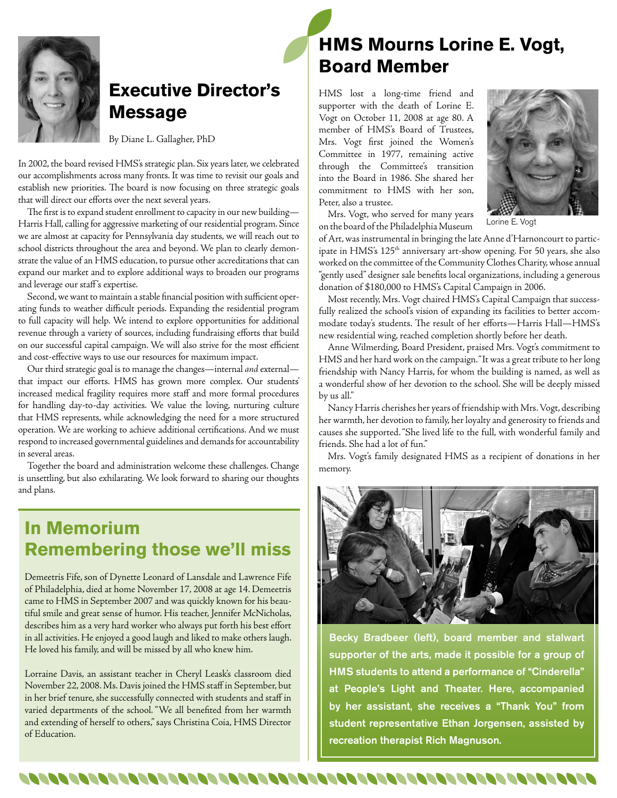

### **Executive Director's Message**

By Diane L. Gallagher, PhD

In 2002, the board revised HMS's strategic plan. Six years later, we celebrated our accomplishments across many fronts. It was time to revisit our goals and establish new priorities. The board is now focusing on three strategic goals that will direct our efforts over the next several years.

The first is to expand student enrollment to capacity in our new building— Harris Hall, calling for aggressive marketing of our residential program. Since we are almost at capacity for Pennsylvania day students, we will reach out to school districts throughout the area and beyond. We plan to clearly demonstrate the value of an HMS education, to pursue other accreditations that can expand our market and to explore additional ways to broaden our programs and leverage our staff 's expertise.

Second, we want to maintain a stable financial position with sufficient operating funds to weather difficult periods. Expanding the residential program to full capacity will help. We intend to explore opportunities for additional revenue through a variety of sources, including fundraising efforts that build on our successful capital campaign. We will also strive for the most efficient and cost-effective ways to use our resources for maximum impact.

Our third strategic goal is to manage the changes—internal *and* external that impact our efforts. HMS has grown more complex. Our students' increased medical fragility requires more staff and more formal procedures for handling day-to-day activities. We value the loving, nurturing culture that HMS represents, while acknowledging the need for a more structured operation. We are working to achieve additional certifications. And we must respond to increased governmental guidelines and demands for accountability in several areas.

Together the board and administration welcome these challenges. Change is unsettling, but also exhilarating. We look forward to sharing our thoughts and plans.

### **In Memorium Remembering those we'll miss**

Demeetris Fife, son of Dynette Leonard of Lansdale and Lawrence Fife of Philadelphia, died at home November 17, 2008 at age 14. Demeetris came to HMS in September 2007 and was quickly known for his beautiful smile and great sense of humor. His teacher, Jennifer McNicholas, describes him as a very hard worker who always put forth his best effort in all activities. He enjoyed a good laugh and liked to make others laugh. He loved his family, and will be missed by all who knew him.

Lorraine Davis, an assistant teacher in Cheryl Leask's classroom died November 22, 2008. Ms. Davis joined the HMS staff in September, but in her brief tenure, she successfully connected with students and staff in varied departments of the school. "We all benefited from her warmth and extending of herself to others," says Christina Coia, HMS Director of Education.

## **HMS Mourns Lorine E. Vogt, Board Member**

HMS lost a long-time friend and supporter with the death of Lorine E. Vogt on October 11, 2008 at age 80. A member of HMS's Board of Trustees, Mrs. Vogt first joined the Women's Committee in 1977, remaining active through the Committee's transition into the Board in 1986. She shared her commitment to HMS with her son, Peter, also a trustee.



Mrs. Vogt, who served for many years on the board of the Philadelphia Museum

Lorine E. Vogt

of Art, was instrumental in bringing the late Anne d'Harnoncourt to participate in HMS's 125<sup>th</sup> anniversary art-show opening. For 50 years, she also worked on the committee of the Community Clothes Charity, whose annual "gently used" designer sale benefits local organizations, including a generous donation of \$180,000 to HMS's Capital Campaign in 2006.

Most recently, Mrs. Vogt chaired HMS's Capital Campaign that successfully realized the school's vision of expanding its facilities to better accommodate today's students. The result of her efforts—Harris Hall—HMS's new residential wing, reached completion shortly before her death.

Anne Wilmerding, Board President, praised Mrs. Vogt's commitment to HMS and her hard work on the campaign. "It was a great tribute to her long friendship with Nancy Harris, for whom the building is named, as well as a wonderful show of her devotion to the school. She will be deeply missed by us all."

Nancy Harris cherishes her years of friendship with Mrs. Vogt, describing her warmth, her devotion to family, her loyalty and generosity to friends and causes she supported. "She lived life to the full, with wonderful family and friends. She had a lot of fun."

Mrs. Vogt's family designated HMS as a recipient of donations in her memory.



Becky Bradbeer (left), board member and stalwart supporter of the arts, made it possible for a group of HMS students to attend a performance of "Cinderella" at People's Light and Theater. Here, accompanied by her assistant, she receives a "Thank You" from student representative Ethan Jorgensen, assisted by recreation therapist Rich Magnuson.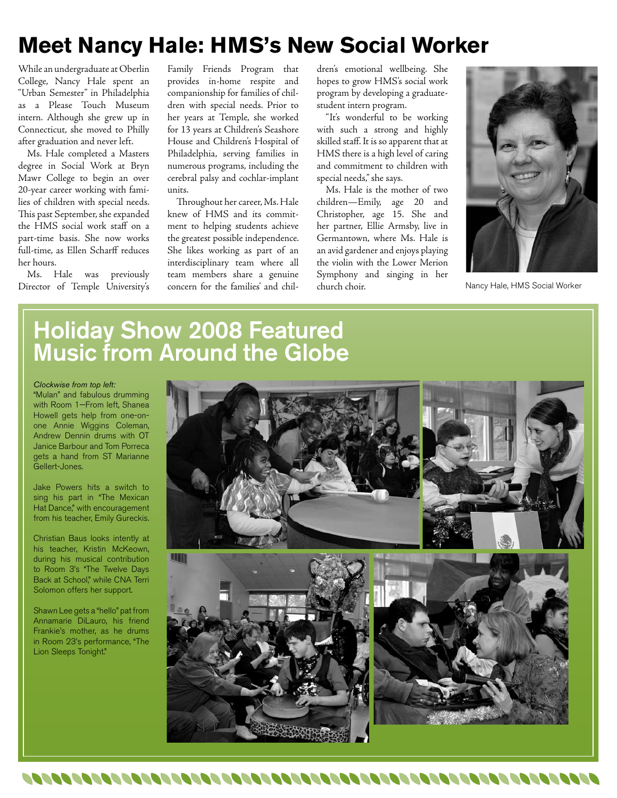# **Meet Nancy Hale: HMS's New Social Worker**

While an undergraduate at Oberlin College, Nancy Hale spent an "Urban Semester" in Philadelphia as a Please Touch Museum intern. Although she grew up in Connecticut, she moved to Philly after graduation and never left.

Ms. Hale completed a Masters degree in Social Work at Bryn Mawr College to begin an over 20-year career working with families of children with special needs. This past September, she expanded the HMS social work staff on a part-time basis. She now works full-time, as Ellen Scharff reduces her hours.

Ms. Hale was previously Director of Temple University's

Family Friends Program that provides in-home respite and companionship for families of children with special needs. Prior to her years at Temple, she worked for 13 years at Children's Seashore House and Children's Hospital of Philadelphia, serving families in numerous programs, including the cerebral palsy and cochlar-implant units.

Throughout her career, Ms. Hale knew of HMS and its commitment to helping students achieve the greatest possible independence. She likes working as part of an interdisciplinary team where all team members share a genuine concern for the families' and children's emotional wellbeing. She hopes to grow HMS's social work program by developing a graduatestudent intern program.

"It's wonderful to be working with such a strong and highly skilled staff. It is so apparent that at HMS there is a high level of caring and commitment to children with special needs," she says.

Ms. Hale is the mother of two children—Emily, age 20 and Christopher, age 15. She and her partner, Ellie Armsby, live in Germantown, where Ms. Hale is an avid gardener and enjoys playing the violin with the Lower Merion Symphony and singing in her church choir.



Nancy Hale, HMS Social Worker

## Holiday Show 2008 Featured Music from Around the Globe

#### *Clockwise from top left:*

"Mulan" and fabulous drumming with Room 1—From left, Shanea Howell gets help from one-onone Annie Wiggins Coleman, Andrew Dennin drums with OT Janice Barbour and Tom Porreca gets a hand from ST Marianne Gellert-Jones.

Jake Powers hits a switch to sing his part in "The Mexican Hat Dance," with encouragement from his teacher, Emily Gureckis.

Christian Baus looks intently at his teacher, Kristin McKeown, during his musical contribution to Room 3's "The Twelve Days Back at School," while CNA Terri Solomon offers her support.

Shawn Lee gets a "hello" pat from Annamarie DiLauro, his friend Frankie's mother, as he drums in Room 23's performance, "The Lion Sleeps Tonight."